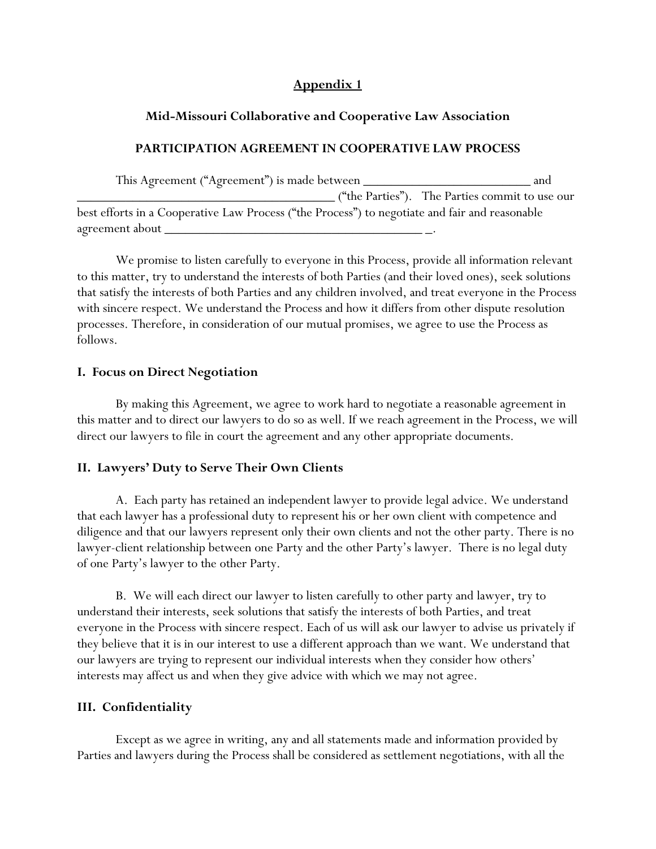## **Appendix 1**

### **Mid-Missouri Collaborative and Cooperative Law Association**

#### **PARTICIPATION AGREEMENT IN COOPERATIVE LAW PROCESS**

This Agreement ("Agreement") is made between \_\_\_\_\_\_\_\_\_\_\_\_\_\_\_\_\_\_\_\_\_\_\_\_ and \_\_\_\_\_\_\_\_\_\_\_\_\_\_\_\_\_\_\_\_\_\_\_\_\_\_\_\_\_\_\_\_\_\_\_\_\_ ("the Parties"). The Parties commit to use our best efforts in a Cooperative Law Process ("the Process") to negotiate and fair and reasonable agreement about\_

We promise to listen carefully to everyone in this Process, provide all information relevant to this matter, try to understand the interests of both Parties (and their loved ones), seek solutions that satisfy the interests of both Parties and any children involved, and treat everyone in the Process with sincere respect. We understand the Process and how it differs from other dispute resolution processes. Therefore, in consideration of our mutual promises, we agree to use the Process as follows.

#### **I. Focus on Direct Negotiation**

By making this Agreement, we agree to work hard to negotiate a reasonable agreement in this matter and to direct our lawyers to do so as well. If we reach agreement in the Process, we will direct our lawyers to file in court the agreement and any other appropriate documents.

### **II. Lawyers' Duty to Serve Their Own Clients**

A. Each party has retained an independent lawyer to provide legal advice. We understand that each lawyer has a professional duty to represent his or her own client with competence and diligence and that our lawyers represent only their own clients and not the other party. There is no lawyer-client relationship between one Party and the other Party's lawyer. There is no legal duty of one Party's lawyer to the other Party.

B. We will each direct our lawyer to listen carefully to other party and lawyer, try to understand their interests, seek solutions that satisfy the interests of both Parties, and treat everyone in the Process with sincere respect. Each of us will ask our lawyer to advise us privately if they believe that it is in our interest to use a different approach than we want. We understand that our lawyers are trying to represent our individual interests when they consider how others' interests may affect us and when they give advice with which we may not agree.

### **III. Confidentiality**

Except as we agree in writing, any and all statements made and information provided by Parties and lawyers during the Process shall be considered as settlement negotiations, with all the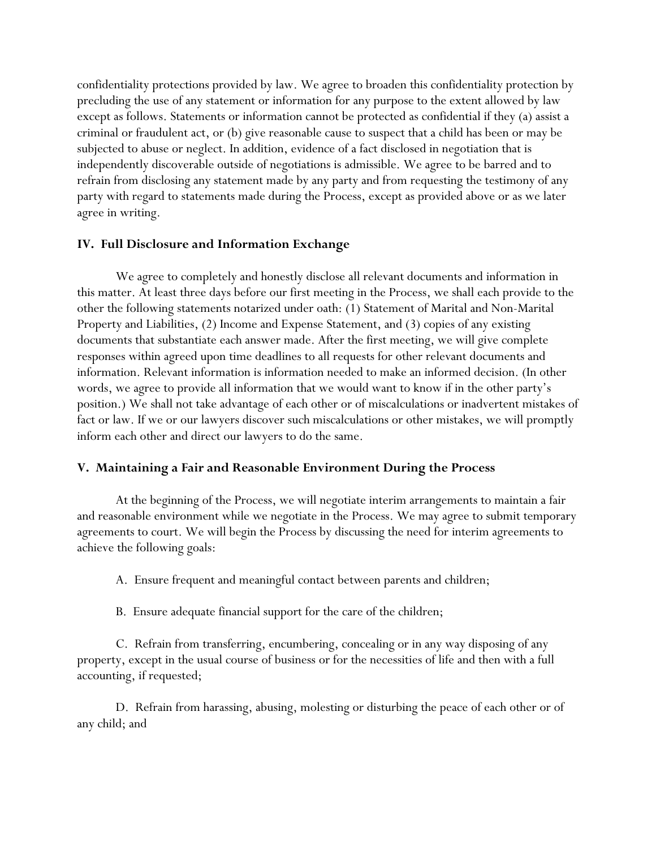confidentiality protections provided by law. We agree to broaden this confidentiality protection by precluding the use of any statement or information for any purpose to the extent allowed by law except as follows. Statements or information cannot be protected as confidential if they (a) assist a criminal or fraudulent act, or (b) give reasonable cause to suspect that a child has been or may be subjected to abuse or neglect. In addition, evidence of a fact disclosed in negotiation that is independently discoverable outside of negotiations is admissible. We agree to be barred and to refrain from disclosing any statement made by any party and from requesting the testimony of any party with regard to statements made during the Process, except as provided above or as we later agree in writing.

#### **IV. Full Disclosure and Information Exchange**

We agree to completely and honestly disclose all relevant documents and information in this matter. At least three days before our first meeting in the Process, we shall each provide to the other the following statements notarized under oath: (1) Statement of Marital and Non-Marital Property and Liabilities, (2) Income and Expense Statement, and (3) copies of any existing documents that substantiate each answer made. After the first meeting, we will give complete responses within agreed upon time deadlines to all requests for other relevant documents and information. Relevant information is information needed to make an informed decision. (In other words, we agree to provide all information that we would want to know if in the other party's position.) We shall not take advantage of each other or of miscalculations or inadvertent mistakes of fact or law. If we or our lawyers discover such miscalculations or other mistakes, we will promptly inform each other and direct our lawyers to do the same.

#### **V. Maintaining a Fair and Reasonable Environment During the Process**

At the beginning of the Process, we will negotiate interim arrangements to maintain a fair and reasonable environment while we negotiate in the Process. We may agree to submit temporary agreements to court. We will begin the Process by discussing the need for interim agreements to achieve the following goals:

A. Ensure frequent and meaningful contact between parents and children;

B. Ensure adequate financial support for the care of the children;

C. Refrain from transferring, encumbering, concealing or in any way disposing of any property, except in the usual course of business or for the necessities of life and then with a full accounting, if requested;

D. Refrain from harassing, abusing, molesting or disturbing the peace of each other or of any child; and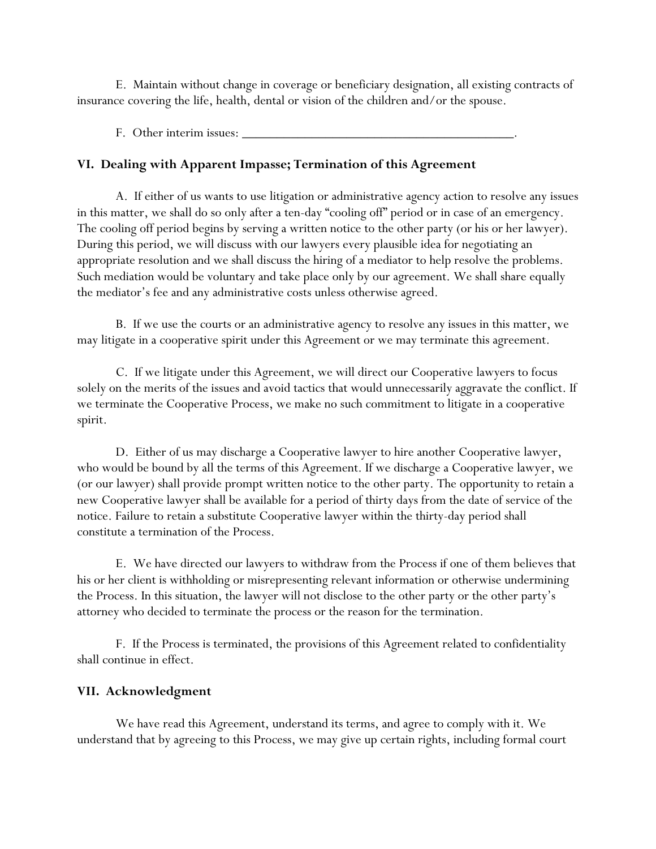E. Maintain without change in coverage or beneficiary designation, all existing contracts of insurance covering the life, health, dental or vision of the children and/or the spouse.

F. Other interim issues:

# **VI. Dealing with Apparent Impasse; Termination of this Agreement**

A. If either of us wants to use litigation or administrative agency action to resolve any issues in this matter, we shall do so only after a ten-day "cooling off" period or in case of an emergency. The cooling off period begins by serving a written notice to the other party (or his or her lawyer). During this period, we will discuss with our lawyers every plausible idea for negotiating an appropriate resolution and we shall discuss the hiring of a mediator to help resolve the problems. Such mediation would be voluntary and take place only by our agreement. We shall share equally the mediator's fee and any administrative costs unless otherwise agreed.

B. If we use the courts or an administrative agency to resolve any issues in this matter, we may litigate in a cooperative spirit under this Agreement or we may terminate this agreement.

C. If we litigate under this Agreement, we will direct our Cooperative lawyers to focus solely on the merits of the issues and avoid tactics that would unnecessarily aggravate the conflict. If we terminate the Cooperative Process, we make no such commitment to litigate in a cooperative spirit.

D. Either of us may discharge a Cooperative lawyer to hire another Cooperative lawyer, who would be bound by all the terms of this Agreement. If we discharge a Cooperative lawyer, we (or our lawyer) shall provide prompt written notice to the other party. The opportunity to retain a new Cooperative lawyer shall be available for a period of thirty days from the date of service of the notice. Failure to retain a substitute Cooperative lawyer within the thirty-day period shall constitute a termination of the Process.

E. We have directed our lawyers to withdraw from the Process if one of them believes that his or her client is withholding or misrepresenting relevant information or otherwise undermining the Process. In this situation, the lawyer will not disclose to the other party or the other party's attorney who decided to terminate the process or the reason for the termination.

F. If the Process is terminated, the provisions of this Agreement related to confidentiality shall continue in effect.

## **VII. Acknowledgment**

We have read this Agreement, understand its terms, and agree to comply with it. We understand that by agreeing to this Process, we may give up certain rights, including formal court